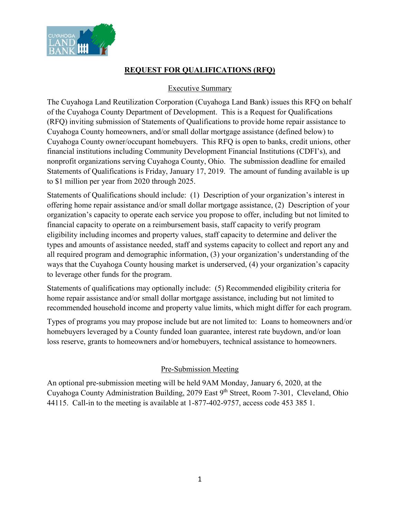

## **REQUEST FOR QUALIFICATIONS (RFQ)**

### Executive Summary

The Cuyahoga Land Reutilization Corporation (Cuyahoga Land Bank) issues this RFQ on behalf of the Cuyahoga County Department of Development. This is a Request for Qualifications (RFQ) inviting submission of Statements of Qualifications to provide home repair assistance to Cuyahoga County homeowners, and/or small dollar mortgage assistance (defined below) to Cuyahoga County owner/occupant homebuyers. This RFQ is open to banks, credit unions, other financial institutions including Community Development Financial Institutions (CDFI's), and nonprofit organizations serving Cuyahoga County, Ohio. The submission deadline for emailed Statements of Qualifications is Friday, January 17, 2019. The amount of funding available is up to \$1 million per year from 2020 through 2025.

Statements of Qualifications should include: (1) Description of your organization's interest in offering home repair assistance and/or small dollar mortgage assistance, (2) Description of your organization's capacity to operate each service you propose to offer, including but not limited to financial capacity to operate on a reimbursement basis, staff capacity to verify program eligibility including incomes and property values, staff capacity to determine and deliver the types and amounts of assistance needed, staff and systems capacity to collect and report any and all required program and demographic information, (3) your organization's understanding of the ways that the Cuyahoga County housing market is underserved, (4) your organization's capacity to leverage other funds for the program.

Statements of qualifications may optionally include: (5) Recommended eligibility criteria for home repair assistance and/or small dollar mortgage assistance, including but not limited to recommended household income and property value limits, which might differ for each program.

Types of programs you may propose include but are not limited to: Loans to homeowners and/or homebuyers leveraged by a County funded loan guarantee, interest rate buydown, and/or loan loss reserve, grants to homeowners and/or homebuyers, technical assistance to homeowners.

#### Pre-Submission Meeting

An optional pre-submission meeting will be held 9AM Monday, January 6, 2020, at the Cuyahoga County Administration Building, 2079 East 9th Street, Room 7-301, Cleveland, Ohio 44115. Call-in to the meeting is available at 1-877-402-9757, access code 453 385 1.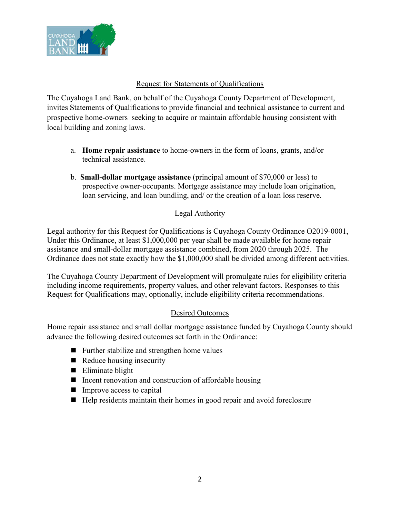

### Request for Statements of Qualifications

The Cuyahoga Land Bank, on behalf of the Cuyahoga County Department of Development, invites Statements of Qualifications to provide financial and technical assistance to current and prospective home-owners seeking to acquire or maintain affordable housing consistent with local building and zoning laws.

- a. **Home repair assistance** to home-owners in the form of loans, grants, and/or technical assistance.
- b. **Small-dollar mortgage assistance** (principal amount of \$70,000 or less) to prospective owner-occupants. Mortgage assistance may include loan origination, loan servicing, and loan bundling, and/ or the creation of a loan loss reserve.

# Legal Authority

Legal authority for this Request for Qualifications is Cuyahoga County Ordinance O2019-0001, Under this Ordinance, at least \$1,000,000 per year shall be made available for home repair assistance and small-dollar mortgage assistance combined, from 2020 through 2025. The Ordinance does not state exactly how the \$1,000,000 shall be divided among different activities.

The Cuyahoga County Department of Development will promulgate rules for eligibility criteria including income requirements, property values, and other relevant factors. Responses to this Request for Qualifications may, optionally, include eligibility criteria recommendations.

## Desired Outcomes

Home repair assistance and small dollar mortgage assistance funded by Cuyahoga County should advance the following desired outcomes set forth in the Ordinance:

- Further stabilize and strengthen home values
- $\blacksquare$  Reduce housing insecurity
- Eliminate blight
- $\blacksquare$  Incent renovation and construction of affordable housing
- $\blacksquare$  Improve access to capital
- Help residents maintain their homes in good repair and avoid foreclosure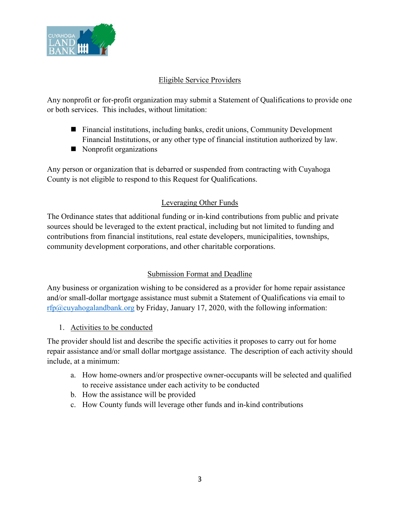

## Eligible Service Providers

Any nonprofit or for-profit organization may submit a Statement of Qualifications to provide one or both services. This includes, without limitation:

- Financial institutions, including banks, credit unions, Community Development Financial Institutions, or any other type of financial institution authorized by law.
- Nonprofit organizations

Any person or organization that is debarred or suspended from contracting with Cuyahoga County is not eligible to respond to this Request for Qualifications.

# Leveraging Other Funds

The Ordinance states that additional funding or in-kind contributions from public and private sources should be leveraged to the extent practical, including but not limited to funding and contributions from financial institutions, real estate developers, municipalities, townships, community development corporations, and other charitable corporations.

# Submission Format and Deadline

Any business or organization wishing to be considered as a provider for home repair assistance and/or small-dollar mortgage assistance must submit a Statement of Qualifications via email to rfp $@c$ uyahogalandbank.org by Friday, January 17, 2020, with the following information:

1. Activities to be conducted

The provider should list and describe the specific activities it proposes to carry out for home repair assistance and/or small dollar mortgage assistance. The description of each activity should include, at a minimum:

- a. How home-owners and/or prospective owner-occupants will be selected and qualified to receive assistance under each activity to be conducted
- b. How the assistance will be provided
- c. How County funds will leverage other funds and in-kind contributions